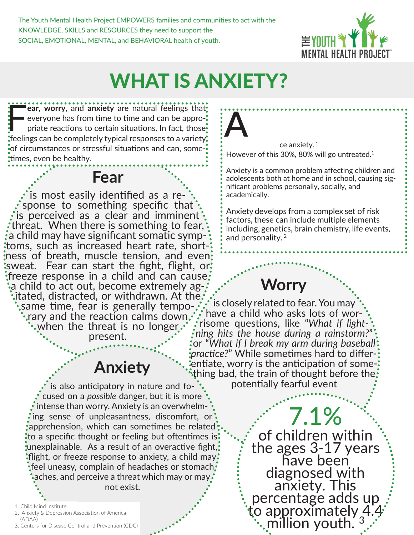The Youth Mental Health Project EMPOWERS families and communities to act with the KNOWLEDGE, SKILLS and RESOURCES they need to support the SOCIAL, EMOTIONAL, MENTAL, and BEHAVIORAL health of youth.



# WHAT IS ANXIETY?

**Franch Worry**, and **anxiety** are natural feelings that: everyone has from time to time and can be appropriate reactions to certain situations. In fact, those: feelings can be completely typical responses to a variety  $\mathop{\rule[0pt]{.5pt}{0.5pt}}$  of circumstances or stressful situations and can, some- $\mathop{\rule[0pt]{.5pt}{0.5pt}}$ times, even be healthy.



is most easily identified as a re-  $\cdot$ <br>sponse to something specific that  $\mathbf{\dot{}}$  is perceived as a clear and imminent  $\mathbf{\dot{}}$ threat. When there is something to fear,'<br>a child may have significant somatic symptoms, such as increased heart rate, short-<br>ness of breath, muscle tension, and even; sweat. Fear can start the fight, flight, or  $\mathbf{\ddot{}}$ :freeze response in a child and can cause:<br> $\mathbf{\ddot{}}\cdot\mathbf{a}$  child to act out, become extremely ag- $\mathbf{\dot{}}\cdot\mathbf{\dot{a}}$  $\cdot$ itated, distracted, or withdrawn. At the $\cdot$  $\boldsymbol{\cdot}$ same time, fear is generally tempo- $\boldsymbol{\cdot}$ <br> $\boldsymbol{\cdot}$ rary and the reaction calms down $\boldsymbol{\cdot} \boldsymbol{\cdot}$ when the threat is no longer.  $\cdot$ present.

### **Anxiety**

is also anticipatory in nature and focused on a *possible* danger, but it is more  $\cdot$  intense than worry. Anxiety is an overwhelming sense of unpleasantness, discomfort, or apprehension, which can sometimes be related to a specific thought or feeling but oftentimes is unexplainable. As a result of an overactive fight, flight, or freeze response to anxiety, a child may  $\cdot$  $\cdot$  feel uneasy, complain of headaches or stomach. aches, and perceive a threat which may or may, not exist.

- 2. Anxiety & Depression Association of America (ADAA)
- 3. Centers for Disease Control and Prevention (CDC)

nxiety is one of the most prevalent mental health issues among youth, but it is one of the least treated. 30% of youth will experience anxiety. <sup>1</sup> **A**

However of this 30%, 80% will go untreated. $1$ 

Anxiety is a common problem affecting children and adolescents both at home and in school, causing significant problems personally, socially, and academically.

Anxiety develops from a complex set of risk factors, these can include multiple elements including, genetics, brain chemistry, life events, and personality. <sup>2</sup>

**Worry**

∵:• is closely related to fear. You may<br>• have a child who asks lots of wor have a child who asks lots of wor- risome questions, like "*What if light- ning hits the house during a rainstorm?*" or "*What if I break my arm during baseball*  entiate, worry is the anticipation of some-:<br>\*thing bad, the train of thought before the potentially fearful event

> 7.1% of children within the ages 3-17 years have been diagnosed with anxiety. This percentage adds up to approximately 4.4 million youth.

<sup>1.</sup> Child Mind Institute